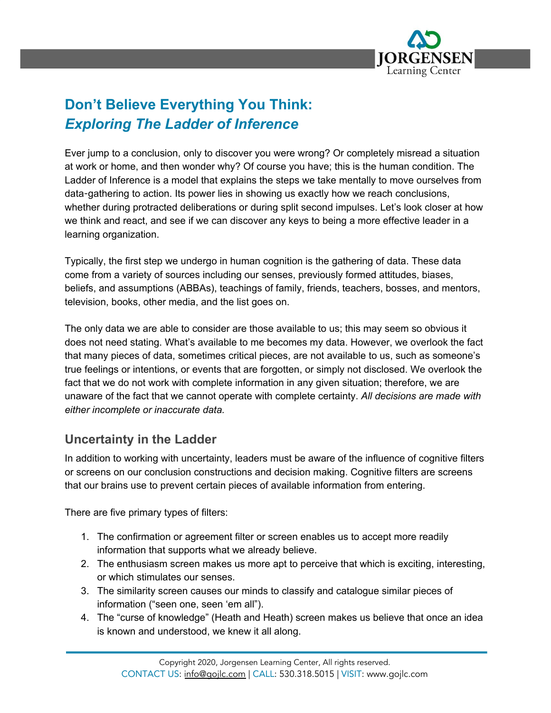

# **Don't Believe Everything You Think:** *Exploring The Ladder of Inference*

Ever jump to a conclusion, only to discover you were wrong? Or completely misread a situation at work or home, and then wonder why? Of course you have; this is the human condition. The Ladder of Inference is a model that explains the steps we take mentally to move ourselves from data-gathering to action. Its power lies in showing us exactly how we reach conclusions, whether during protracted deliberations or during split second impulses. Let's look closer at how we think and react, and see if we can discover any keys to being a more effective leader in a learning organization.

Typically, the first step we undergo in human cognition is the gathering of data. These data come from a variety of sources including our senses, previously formed attitudes, biases, beliefs, and assumptions (ABBAs), teachings of family, friends, teachers, bosses, and mentors, television, books, other media, and the list goes on.

The only data we are able to consider are those available to us; this may seem so obvious it does not need stating. What's available to me becomes my data. However, we overlook the fact that many pieces of data, sometimes critical pieces, are not available to us, such as someone's true feelings or intentions, or events that are forgotten, or simply not disclosed. We overlook the fact that we do not work with complete information in any given situation; therefore, we are unaware of the fact that we cannot operate with complete certainty. *All decisions are made with either incomplete or inaccurate data.*

### **Uncertainty in the Ladder**

In addition to working with uncertainty, leaders must be aware of the influence of cognitive filters or screens on our conclusion constructions and decision making. Cognitive filters are screens that our brains use to prevent certain pieces of available information from entering.

There are five primary types of filters:

- 1. The confirmation or agreement filter or screen enables us to accept more readily information that supports what we already believe.
- 2. The enthusiasm screen makes us more apt to perceive that which is exciting, interesting, or which stimulates our senses.
- 3. The similarity screen causes our minds to classify and catalogue similar pieces of information ("seen one, seen 'em all").
- 4. The "curse of knowledge" (Heath and Heath) screen makes us believe that once an idea is known and understood, we knew it all along.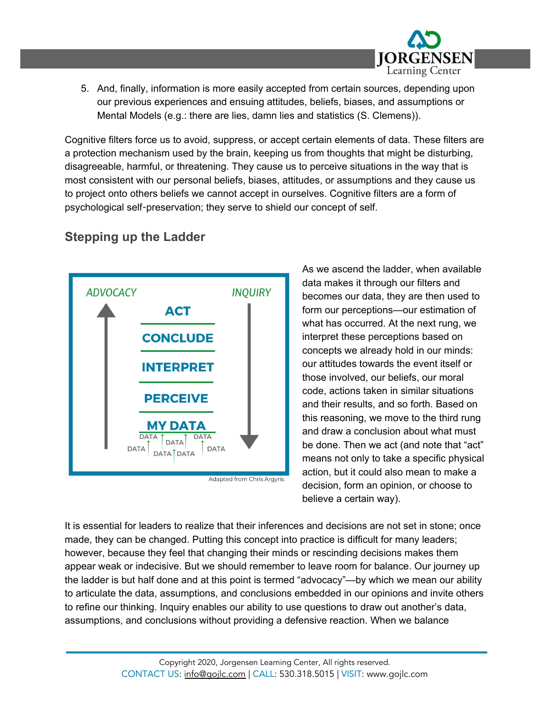

5. And, finally, information is more easily accepted from certain sources, depending upon our previous experiences and ensuing attitudes, beliefs, biases, and assumptions or Mental Models (e.g.: there are lies, damn lies and statistics (S. Clemens)).

Cognitive filters force us to avoid, suppress, or accept certain elements of data. These filters are a protection mechanism used by the brain, keeping us from thoughts that might be disturbing, disagreeable, harmful, or threatening. They cause us to perceive situations in the way that is most consistent with our personal beliefs, biases, attitudes, or assumptions and they cause us to project onto others beliefs we cannot accept in ourselves. Cognitive filters are a form of psychological self-preservation; they serve to shield our concept of self.

# **Stepping up the Ladder**



As we ascend the ladder, when available data makes it through our filters and becomes our data, they are then used to form our perceptions—our estimation of what has occurred. At the next rung, we interpret these perceptions based on concepts we already hold in our minds: our attitudes towards the event itself or those involved, our beliefs, our moral code, actions taken in similar situations and their results, and so forth. Based on this reasoning, we move to the third rung and draw a conclusion about what must be done. Then we act (and note that "act" means not only to take a specific physical action, but it could also mean to make a decision, form an opinion, or choose to believe a certain way).

It is essential for leaders to realize that their inferences and decisions are not set in stone; once made, they can be changed. Putting this concept into practice is difficult for many leaders; however, because they feel that changing their minds or rescinding decisions makes them appear weak or indecisive. But we should remember to leave room for balance. Our journey up the ladder is but half done and at this point is termed "advocacy"—by which we mean our ability to articulate the data, assumptions, and conclusions embedded in our opinions and invite others to refine our thinking. Inquiry enables our ability to use questions to draw out another's data, assumptions, and conclusions without providing a defensive reaction. When we balance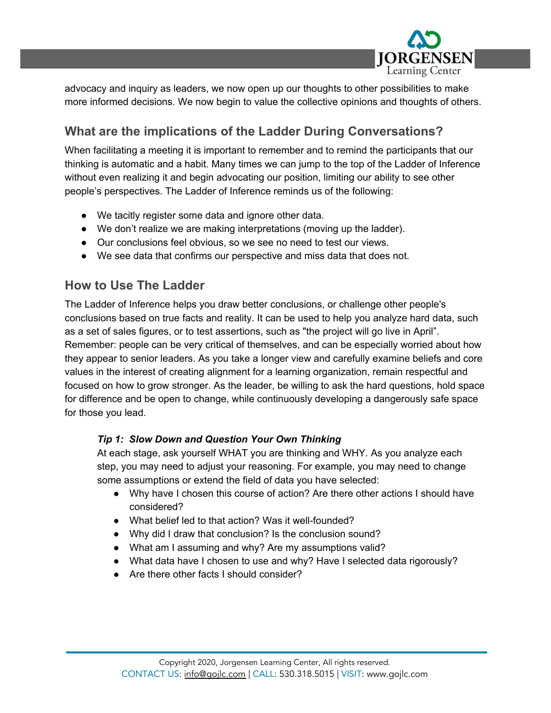

advocacy and inquiry as leaders, we now open up our thoughts to other possibilities to make more informed decisions. We now begin to value the collective opinions and thoughts of others.

## **What are the implications of the Ladder During Conversations?**

When facilitating a meeting it is important to remember and to remind the participants that our thinking is automatic and a habit. Many times we can jump to the top of the Ladder of Inference without even realizing it and begin advocating our position, limiting our ability to see other people's perspectives. The Ladder of Inference reminds us of the following:

- We tacitly register some data and ignore other data.
- We don't realize we are making interpretations (moving up the ladder).
- Our conclusions feel obvious, so we see no need to test our views.
- We see data that confirms our perspective and miss data that does not.

### **How to Use The Ladder**

The Ladder of Inference helps you draw better conclusions, or challenge other people's conclusions based on true facts and reality. It can be used to help you analyze hard data, such as a set of sales figures, or to test assertions, such as "the project will go live in April". Remember: people can be very critical of themselves, and can be especially worried about how they appear to senior leaders. As you take a longer view and carefully examine beliefs and core values in the interest of creating alignment for a learning organization, remain respectful and focused on how to grow stronger. As the leader, be willing to ask the hard questions, hold space for difference and be open to change, while continuously developing a dangerously safe space for those you lead.

#### *Tip 1: Slow Down and Question Your Own Thinking*

At each stage, ask yourself WHAT you are thinking and WHY. As you analyze each step, you may need to adjust your reasoning. For example, you may need to change some assumptions or extend the field of data you have selected:

- Why have I chosen this course of action? Are there other actions I should have considered?
- What belief led to that action? Was it well-founded?
- Why did I draw that conclusion? Is the conclusion sound?
- What am I assuming and why? Are my assumptions valid?
- What data have I chosen to use and why? Have I selected data rigorously?
- Are there other facts I should consider?